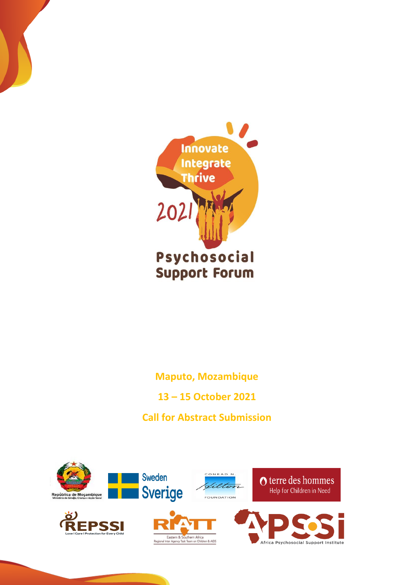

**Maputo, Mozambique**

**13 – 15 October 2021** 

**Call for Abstract Submission**

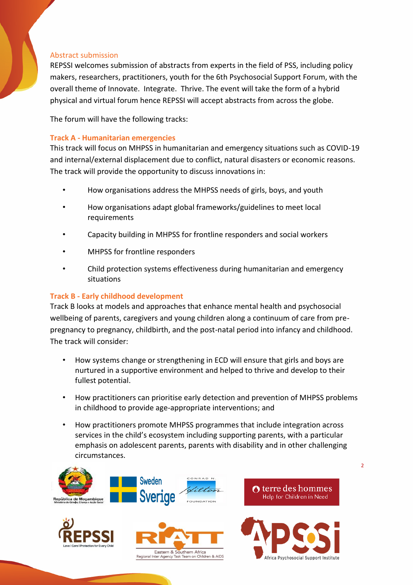### Abstract submission

REPSSI welcomes submission of abstracts from experts in the field of PSS, including policy makers, researchers, practitioners, youth for the 6th Psychosocial Support Forum, with the overall theme of Innovate. Integrate. Thrive. The event will take the form of a hybrid physical and virtual forum hence REPSSI will accept abstracts from across the globe.

The forum will have the following tracks:

#### **Track A - Humanitarian emergencies**

This track will focus on MHPSS in humanitarian and emergency situations such as COVID-19 and internal/external displacement due to conflict, natural disasters or economic reasons. The track will provide the opportunity to discuss innovations in:

- How organisations address the MHPSS needs of girls, boys, and youth
- How organisations adapt global frameworks/guidelines to meet local requirements
- Capacity building in MHPSS for frontline responders and social workers
- MHPSS for frontline responders
- Child protection systems effectiveness during humanitarian and emergency situations

## **Track B - Early childhood development**

Track B looks at models and approaches that enhance mental health and psychosocial wellbeing of parents, caregivers and young children along a continuum of care from prepregnancy to pregnancy, childbirth, and the post-natal period into infancy and childhood. The track will consider:

- How systems change or strengthening in ECD will ensure that girls and boys are nurtured in a supportive environment and helped to thrive and develop to their fullest potential.
- How practitioners can prioritise early detection and prevention of MHPSS problems in childhood to provide age-appropriate interventions; and
- How practitioners promote MHPSS programmes that include integration across services in the child's ecosystem including supporting parents, with a particular emphasis on adolescent parents, parents with disability and in other challenging circumstances.



 $\overline{2}$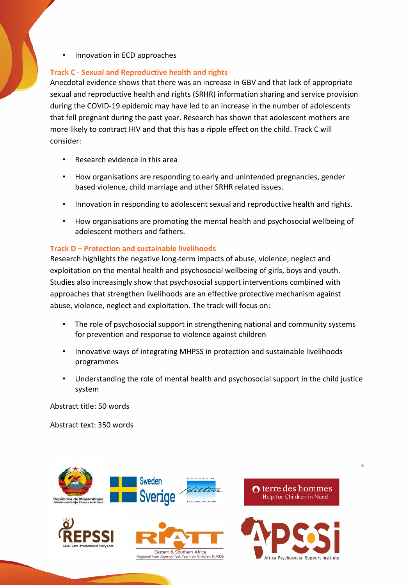• Innovation in ECD approaches

# **Track C - Sexual and Reproductive health and rights**

Anecdotal evidence shows that there was an increase in GBV and that lack of appropriate sexual and reproductive health and rights (SRHR) information sharing and service provision during the COVID-19 epidemic may have led to an increase in the number of adolescents that fell pregnant during the past year. Research has shown that adolescent mothers are more likely to contract HIV and that this has a ripple effect on the child. Track C will consider:

- Research evidence in this area
- How organisations are responding to early and unintended pregnancies, gender based violence, child marriage and other SRHR related issues.
- Innovation in responding to adolescent sexual and reproductive health and rights.
- How organisations are promoting the mental health and psychosocial wellbeing of adolescent mothers and fathers.

# **Track D – Protection and sustainable livelihoods**

Research highlights the negative long-term impacts of abuse, violence, neglect and exploitation on the mental health and psychosocial wellbeing of girls, boys and youth. Studies also increasingly show that psychosocial support interventions combined with approaches that strengthen livelihoods are an effective protective mechanism against abuse, violence, neglect and exploitation. The track will focus on:

- The role of psychosocial support in strengthening national and community systems for prevention and response to violence against children
- Innovative ways of integrating MHPSS in protection and sustainable livelihoods programmes
- Understanding the role of mental health and psychosocial support in the child justice system

Abstract title: 50 words

Abstract text: 350 words



3